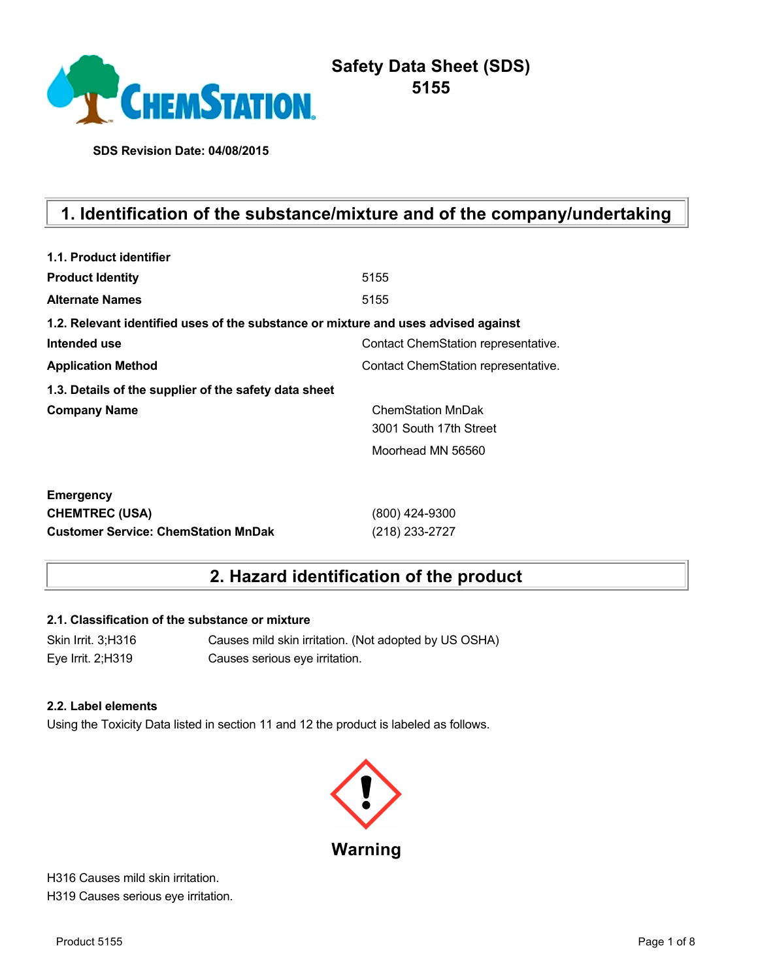

**SDS Revision Date: 04/08/2015**

# **1. Identification of the substance/mixture and of the company/undertaking**

| 1.1. Product identifier                                                            |                                     |
|------------------------------------------------------------------------------------|-------------------------------------|
| <b>Product Identity</b>                                                            | 5155                                |
| <b>Alternate Names</b>                                                             | 5155                                |
| 1.2. Relevant identified uses of the substance or mixture and uses advised against |                                     |
| Intended use                                                                       | Contact ChemStation representative. |
| <b>Application Method</b>                                                          | Contact ChemStation representative. |
| 1.3. Details of the supplier of the safety data sheet                              |                                     |
| <b>Company Name</b>                                                                | <b>ChemStation MnDak</b>            |
|                                                                                    | 3001 South 17th Street              |
|                                                                                    | Moorhead MN 56560                   |
| <b>Emergency</b>                                                                   |                                     |
| <b>CHEMTREC (USA)</b>                                                              | (800) 424-9300                      |
| <b>Customer Service: ChemStation MnDak</b>                                         | (218) 233-2727                      |

## **2. Hazard identification of the product**

#### **2.1. Classification of the substance or mixture**

Skin Irrit. 3;H316 Causes mild skin irritation. (Not adopted by US OSHA) Eye Irrit. 2;H319 Causes serious eye irritation.

#### **2.2. Label elements**

Using the Toxicity Data listed in section 11 and 12 the product is labeled as follows.



H316 Causes mild skin irritation. H319 Causes serious eye irritation.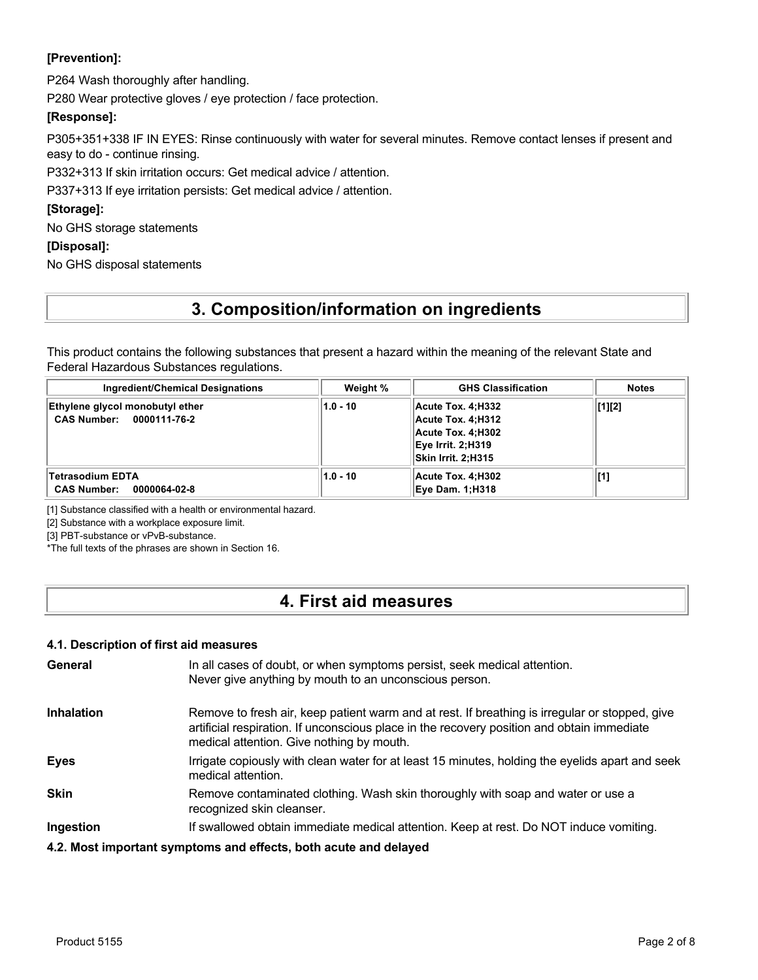### **[Prevention]:**

P264 Wash thoroughly after handling.

P280 Wear protective gloves / eye protection / face protection.

#### **[Response]:**

P305+351+338 IF IN EYES: Rinse continuously with water for several minutes. Remove contact lenses if present and easy to do - continue rinsing.

P332+313 If skin irritation occurs: Get medical advice / attention.

P337+313 If eye irritation persists: Get medical advice / attention.

#### **[Storage]:**

No GHS storage statements

#### **[Disposal]:**

No GHS disposal statements

## **3. Composition/information on ingredients**

This product contains the following substances that present a hazard within the meaning of the relevant State and Federal Hazardous Substances regulations.

| Ingredient/Chemical Designations                            | Weight %   | <b>GHS Classification</b>                                                                                     | Notes  |
|-------------------------------------------------------------|------------|---------------------------------------------------------------------------------------------------------------|--------|
| Ethylene glycol monobutyl ether<br>CAS Number: 0000111-76-2 | $1.0 - 10$ | Acute Tox. 4:H332<br>Acute Tox. 4:H312<br>Acute Tox. 4:H302<br>Eye Irrit. 2:H319<br><b>Skin Irrit. 2:H315</b> | [1][2] |
| Tetrasodium EDTA<br><b>CAS Number:</b><br>0000064-02-8      | $1.0 - 10$ | Acute Tox. 4:H302<br><b>Eye Dam. 1:H318</b>                                                                   | [1]    |

[1] Substance classified with a health or environmental hazard.

[2] Substance with a workplace exposure limit.

[3] PBT-substance or vPvB-substance.

\*The full texts of the phrases are shown in Section 16.

### **4. First aid measures**

#### **4.1. Description of first aid measures**

| General           | In all cases of doubt, or when symptoms persist, seek medical attention.<br>Never give anything by mouth to an unconscious person.                                                                                                        |
|-------------------|-------------------------------------------------------------------------------------------------------------------------------------------------------------------------------------------------------------------------------------------|
| <b>Inhalation</b> | Remove to fresh air, keep patient warm and at rest. If breathing is irregular or stopped, give<br>artificial respiration. If unconscious place in the recovery position and obtain immediate<br>medical attention. Give nothing by mouth. |
| <b>Eyes</b>       | Irrigate copiously with clean water for at least 15 minutes, holding the eyelids apart and seek<br>medical attention.                                                                                                                     |
| <b>Skin</b>       | Remove contaminated clothing. Wash skin thoroughly with soap and water or use a<br>recognized skin cleanser.                                                                                                                              |
| Ingestion         | If swallowed obtain immediate medical attention. Keep at rest. Do NOT induce vomiting.                                                                                                                                                    |
|                   | 4.2. Most important symptoms and effects, both acute and delayed                                                                                                                                                                          |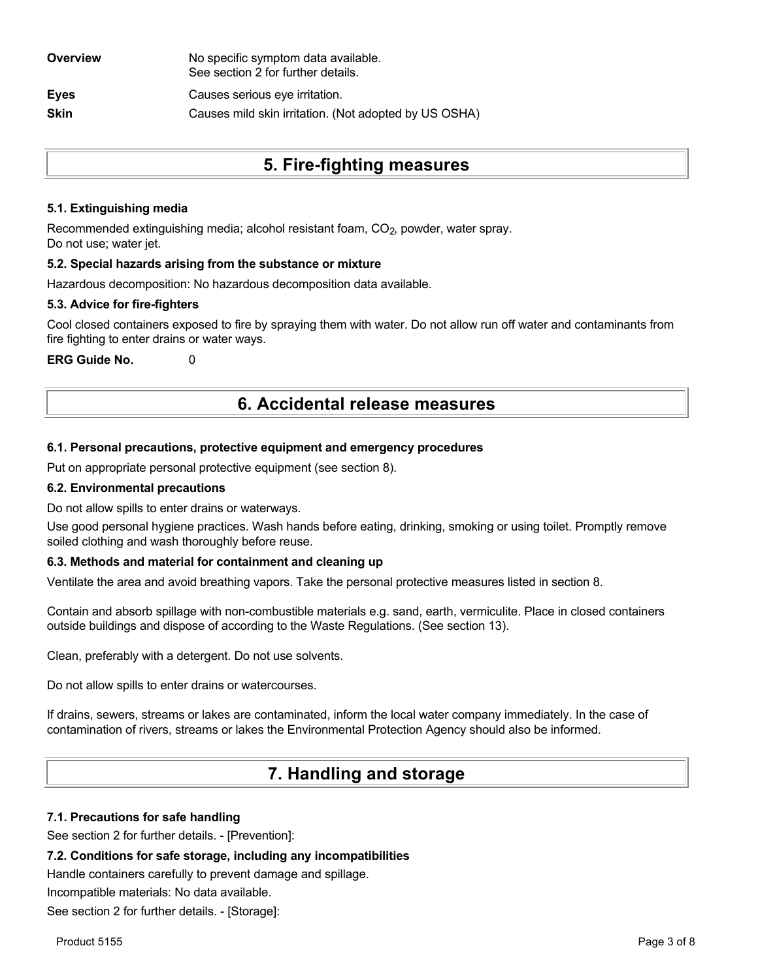| Overview    | No specific symptom data available.<br>See section 2 for further details. |
|-------------|---------------------------------------------------------------------------|
| <b>Eyes</b> | Causes serious eye irritation.                                            |
| <b>Skin</b> | Causes mild skin irritation. (Not adopted by US OSHA)                     |
|             |                                                                           |

## **5. Fire-fighting measures**

#### **5.1. Extinguishing media**

Recommended extinguishing media; alcohol resistant foam, CO<sub>2</sub>, powder, water spray. Do not use; water jet.

#### **5.2. Special hazards arising from the substance or mixture**

Hazardous decomposition: No hazardous decomposition data available.

#### **5.3. Advice for fire-fighters**

Cool closed containers exposed to fire by spraying them with water. Do not allow run off water and contaminants from fire fighting to enter drains or water ways.

**ERG Guide No.** 0

### **6. Accidental release measures**

#### **6.1. Personal precautions, protective equipment and emergency procedures**

Put on appropriate personal protective equipment (see section 8).

#### **6.2. Environmental precautions**

Do not allow spills to enter drains or waterways.

Use good personal hygiene practices. Wash hands before eating, drinking, smoking or using toilet. Promptly remove soiled clothing and wash thoroughly before reuse.

#### **6.3. Methods and material for containment and cleaning up**

Ventilate the area and avoid breathing vapors. Take the personal protective measures listed in section 8.

Contain and absorb spillage with non-combustible materials e.g. sand, earth, vermiculite. Place in closed containers outside buildings and dispose of according to the Waste Regulations. (See section 13).

Clean, preferably with a detergent. Do not use solvents.

Do not allow spills to enter drains or watercourses.

If drains, sewers, streams or lakes are contaminated, inform the local water company immediately. In the case of contamination of rivers, streams or lakes the Environmental Protection Agency should also be informed.

## **7. Handling and storage**

#### **7.1. Precautions for safe handling**

See section 2 for further details. - [Prevention]:

#### **7.2. Conditions for safe storage, including any incompatibilities**

Handle containers carefully to prevent damage and spillage.

Incompatible materials: No data available.

See section 2 for further details. - [Storage]: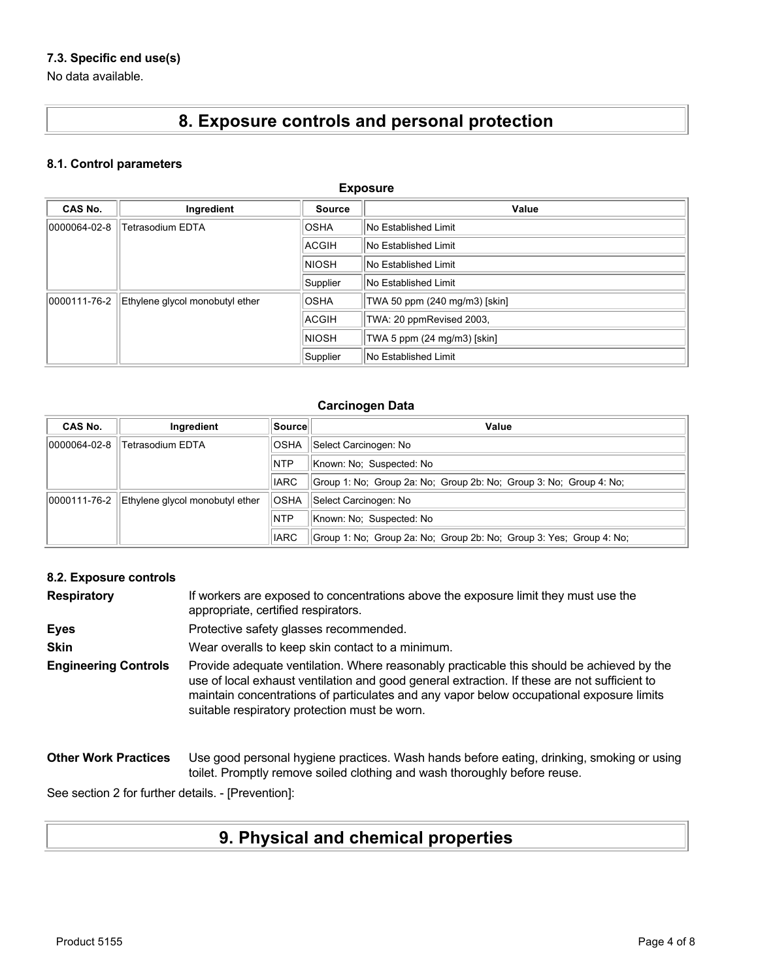### **7.3. Specific end use(s)**

No data available.

# **8. Exposure controls and personal protection**

### **8.1. Control parameters**

| <b>Exposure</b>                                        |                                 |              |                               |  |  |
|--------------------------------------------------------|---------------------------------|--------------|-------------------------------|--|--|
| <b>CAS No.</b><br>Ingredient<br>Value<br><b>Source</b> |                                 |              |                               |  |  |
| 0000064-02-8                                           | <b>Tetrasodium EDTA</b>         | <b>OSHA</b>  | No Established Limit          |  |  |
|                                                        |                                 | <b>ACGIH</b> | No Established Limit          |  |  |
|                                                        |                                 | <b>NIOSH</b> | <b>No Established Limit</b>   |  |  |
|                                                        |                                 | Supplier     | No Established Limit          |  |  |
| 0000111-76-2                                           | Ethylene glycol monobutyl ether | <b>OSHA</b>  | TWA 50 ppm (240 mg/m3) [skin] |  |  |
|                                                        |                                 | <b>ACGIH</b> | TWA: 20 ppmRevised 2003,      |  |  |
|                                                        |                                 | <b>NIOSH</b> | TWA 5 ppm (24 mg/m3) [skin]   |  |  |
|                                                        |                                 | Supplier     | No Established Limit          |  |  |

#### **Carcinogen Data**

| CAS No.      | Ingredient                      | Source      | Value                                                               |
|--------------|---------------------------------|-------------|---------------------------------------------------------------------|
| 0000064-02-8 | Tetrasodium EDTA                | <b>OSHA</b> | Select Carcinogen: No                                               |
|              |                                 | <b>NTP</b>  | Known: No: Suspected: No                                            |
|              |                                 | <b>IARC</b> | Group 1: No: Group 2a: No: Group 2b: No: Group 3: No: Group 4: No:  |
| 0000111-76-2 | Ethylene glycol monobutyl ether | <b>OSHA</b> | Select Carcinogen: No                                               |
|              |                                 | <b>NTP</b>  | Known: No: Suspected: No                                            |
|              |                                 | <b>IARC</b> | Group 1: No: Group 2a: No: Group 2b: No: Group 3: Yes: Group 4: No: |

#### **8.2. Exposure controls**

| <b>Respiratory</b>          | If workers are exposed to concentrations above the exposure limit they must use the<br>appropriate, certified respirators.                                                                                                                                                                                                             |
|-----------------------------|----------------------------------------------------------------------------------------------------------------------------------------------------------------------------------------------------------------------------------------------------------------------------------------------------------------------------------------|
| <b>Eyes</b>                 | Protective safety glasses recommended.                                                                                                                                                                                                                                                                                                 |
| <b>Skin</b>                 | Wear overalls to keep skin contact to a minimum.                                                                                                                                                                                                                                                                                       |
| <b>Engineering Controls</b> | Provide adequate ventilation. Where reasonably practicable this should be achieved by the<br>use of local exhaust ventilation and good general extraction. If these are not sufficient to<br>maintain concentrations of particulates and any vapor below occupational exposure limits<br>suitable respiratory protection must be worn. |
| <b>Other Work Practices</b> | Use good personal hygiene practices. Wash hands before eating, drinking, smoking or using<br>toilet. Promptly remove soiled clothing and wash thoroughly before reuse.                                                                                                                                                                 |

See section 2 for further details. - [Prevention]:

# **9. Physical and chemical properties**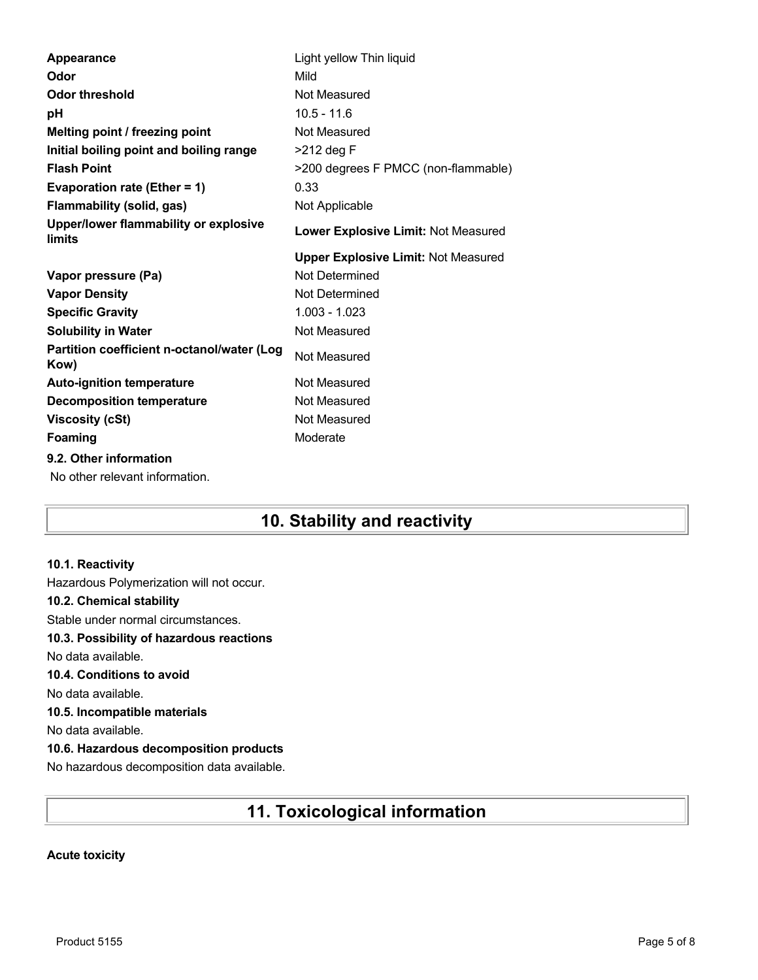| <b>Appearance</b>                                  | Light yellow Thin liquid                   |
|----------------------------------------------------|--------------------------------------------|
| Odor                                               | Mild                                       |
| Odor threshold                                     | Not Measured                               |
| рH                                                 | $10.5 - 11.6$                              |
| Melting point / freezing point                     | Not Measured                               |
| Initial boiling point and boiling range            | >212 deg F                                 |
| <b>Flash Point</b>                                 | >200 degrees F PMCC (non-flammable)        |
| Evaporation rate (Ether = 1)                       | 0.33                                       |
| Flammability (solid, gas)                          | Not Applicable                             |
| Upper/lower flammability or explosive<br>limits    | <b>Lower Explosive Limit: Not Measured</b> |
|                                                    | <b>Upper Explosive Limit: Not Measured</b> |
| Vapor pressure (Pa)                                | Not Determined                             |
| <b>Vapor Density</b>                               | Not Determined                             |
| <b>Specific Gravity</b>                            | $1.003 - 1.023$                            |
| <b>Solubility in Water</b>                         | Not Measured                               |
| Partition coefficient n-octanol/water (Log<br>Kow) | Not Measured                               |
| <b>Auto-ignition temperature</b>                   | Not Measured                               |
| <b>Decomposition temperature</b>                   | Not Measured                               |
| <b>Viscosity (cSt)</b>                             |                                            |
|                                                    | Not Measured                               |
| Foaming                                            | Moderate                                   |
| 9.2. Other information                             |                                            |
| No other relevant information.                     |                                            |

## **10. Stability and reactivity**

#### **10.1. Reactivity**

Hazardous Polymerization will not occur. **10.2. Chemical stability** Stable under normal circumstances. **10.3. Possibility of hazardous reactions** No data available. **10.4. Conditions to avoid** No data available. **10.5. Incompatible materials** No data available. **10.6. Hazardous decomposition products** No hazardous decomposition data available.

## **11. Toxicological information**

#### **Acute toxicity**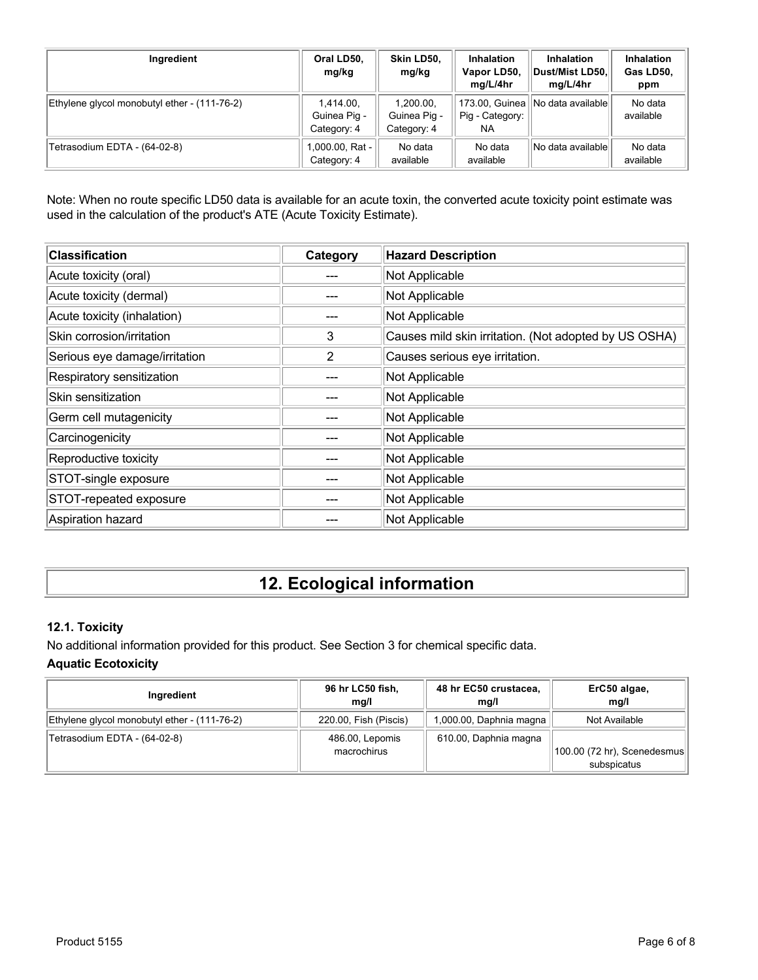| Ingredient                                   | Oral LD50,<br>mg/kg                      | Skin LD50.<br>mg/kg                      | <b>Inhalation</b><br>Vapor LD50,<br>mg/L/4hr | <b>Inhalation</b><br>Dust/Mist LD50,<br>mg/L/4hr | <b>Inhalation</b><br>Gas LD50,<br>ppm |
|----------------------------------------------|------------------------------------------|------------------------------------------|----------------------------------------------|--------------------------------------------------|---------------------------------------|
| Ethylene glycol monobutyl ether - (111-76-2) | 1,414.00,<br>Guinea Pig -<br>Category: 4 | 1.200.00.<br>Guinea Pig -<br>Category: 4 | Pig - Category:<br>NA                        | 173.00, Guinea    No data available              | No data<br>available                  |
| Tetrasodium EDTA - (64-02-8)                 | 1,000.00, Rat -<br>Category: 4           | No data<br>available                     | No data<br>available                         | No data availablel                               | No data<br>available                  |

Note: When no route specific LD50 data is available for an acute toxin, the converted acute toxicity point estimate was used in the calculation of the product's ATE (Acute Toxicity Estimate).

| <b>Classification</b>         | Category | <b>Hazard Description</b>                             |
|-------------------------------|----------|-------------------------------------------------------|
| Acute toxicity (oral)         |          | Not Applicable                                        |
| Acute toxicity (dermal)       |          | Not Applicable                                        |
| Acute toxicity (inhalation)   |          | Not Applicable                                        |
| Skin corrosion/irritation     | 3        | Causes mild skin irritation. (Not adopted by US OSHA) |
| Serious eye damage/irritation | 2        | Causes serious eye irritation.                        |
| Respiratory sensitization     |          | Not Applicable                                        |
| Skin sensitization            |          | Not Applicable                                        |
| Germ cell mutagenicity        |          | Not Applicable                                        |
| Carcinogenicity               |          | Not Applicable                                        |
| Reproductive toxicity         |          | Not Applicable                                        |
| STOT-single exposure          |          | Not Applicable                                        |
| STOT-repeated exposure        |          | Not Applicable                                        |
| Aspiration hazard             |          | Not Applicable                                        |

# **12. Ecological information**

### **12.1. Toxicity**

No additional information provided for this product. See Section 3 for chemical specific data.

### **Aquatic Ecotoxicity**

| Ingredient                                   | 96 hr LC50 fish,<br>ma/l       | 48 hr EC50 crustacea,<br>mq/l | ErC50 algae,<br>mq/l                        |
|----------------------------------------------|--------------------------------|-------------------------------|---------------------------------------------|
| Ethylene glycol monobutyl ether - (111-76-2) | 220.00, Fish (Piscis)          | 1,000.00, Daphnia magna       | Not Available                               |
| Tetrasodium EDTA - (64-02-8)                 | 486.00, Lepomis<br>macrochirus | 610.00, Daphnia magna         | [100.00 (72 hr), Scenedesmus<br>subspicatus |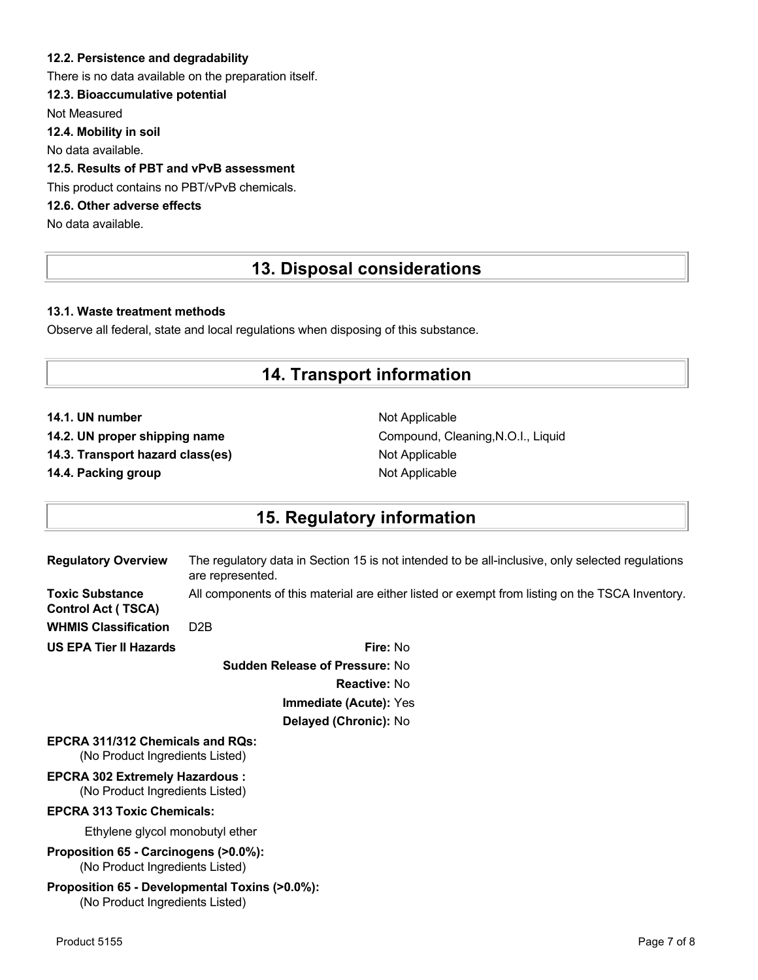#### **12.2. Persistence and degradability**

There is no data available on the preparation itself.

### **12.3. Bioaccumulative potential**

Not Measured

**12.4. Mobility in soil**

No data available.

### **12.5. Results of PBT and vPvB assessment**

This product contains no PBT/vPvB chemicals.

### **12.6. Other adverse effects**

No data available.

## **13. Disposal considerations**

#### **13.1. Waste treatment methods**

Observe all federal, state and local regulations when disposing of this substance.

### **14. Transport information**

**14.1. UN number** Not Applicable

**14.3. Transport hazard class(es)** Not Applicable

**14.4. Packing group Not Applicable Not Applicable** 

14.2. UN proper shipping name **Compound, Cleaning, N.O.I., Liquid** Compound, Cleaning, N.O.I., Liquid

## **15. Regulatory information**

| <b>Regulatory Overview</b>                                                        | The regulatory data in Section 15 is not intended to be all-inclusive, only selected regulations<br>are represented. |
|-----------------------------------------------------------------------------------|----------------------------------------------------------------------------------------------------------------------|
| <b>Toxic Substance</b><br><b>Control Act (TSCA)</b>                               | All components of this material are either listed or exempt from listing on the TSCA Inventory.                      |
| <b>WHMIS Classification</b>                                                       | D <sub>2</sub> B                                                                                                     |
| <b>US EPA Tier II Hazards</b>                                                     | Fire: No                                                                                                             |
|                                                                                   | <b>Sudden Release of Pressure: No</b>                                                                                |
|                                                                                   | <b>Reactive: No</b>                                                                                                  |
|                                                                                   | <b>Immediate (Acute): Yes</b>                                                                                        |
|                                                                                   | Delayed (Chronic): No                                                                                                |
| <b>EPCRA 311/312 Chemicals and ROS:</b><br>(No Product Ingredients Listed)        |                                                                                                                      |
| <b>EPCRA 302 Extremely Hazardous:</b><br>(No Product Ingredients Listed)          |                                                                                                                      |
| <b>EPCRA 313 Toxic Chemicals:</b>                                                 |                                                                                                                      |
| Ethylene glycol monobutyl ether                                                   |                                                                                                                      |
| Proposition 65 - Carcinogens (>0.0%):<br>(No Product Ingredients Listed)          |                                                                                                                      |
| Proposition 65 - Developmental Toxins (>0.0%):<br>(No Product Ingredients Listed) |                                                                                                                      |